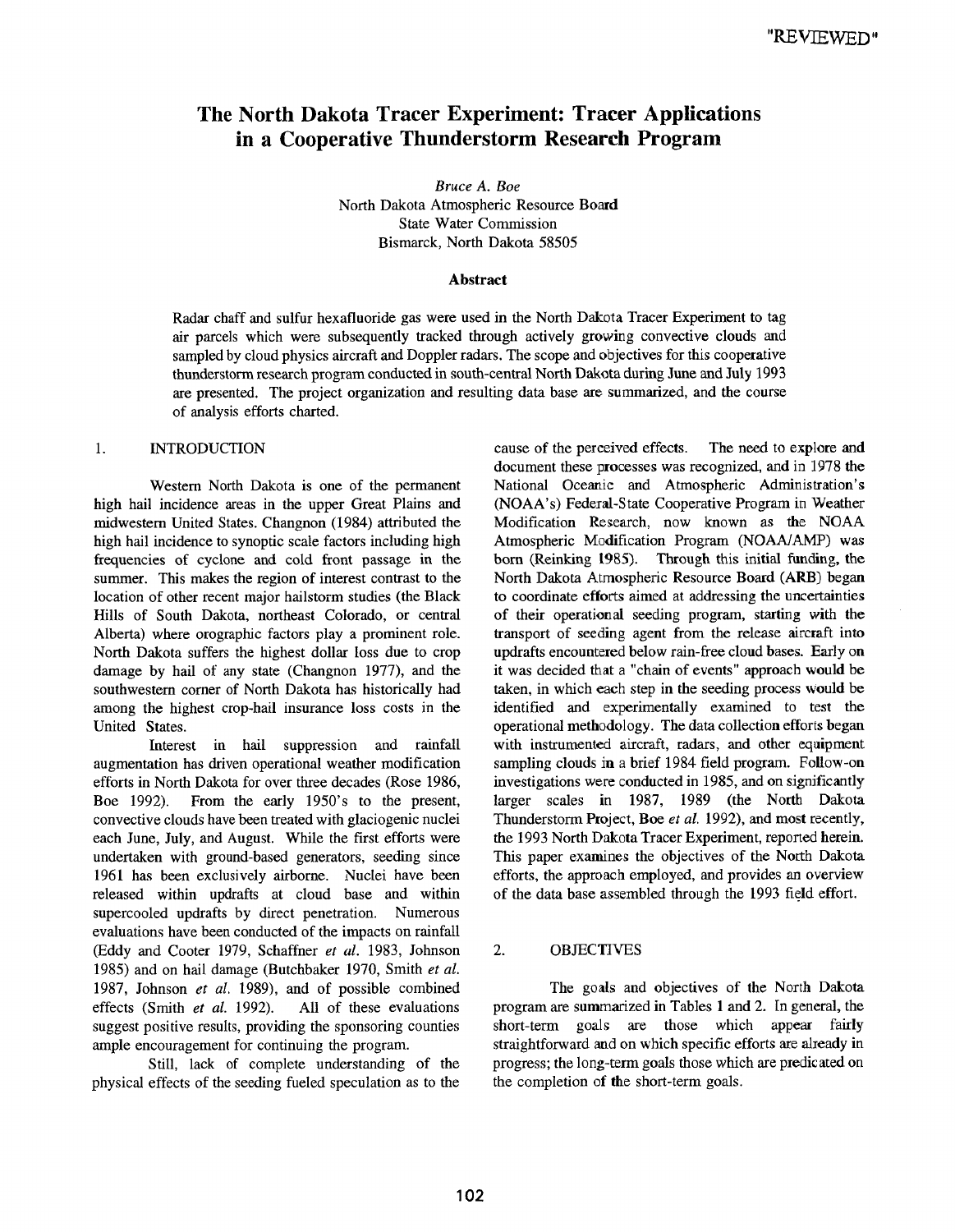# **The North Dakota Tracer Experiment: Tracer Applications in a Cooperative Thunderstorm Research Program**

*Bruce A. Boe* North Dakota Atmospheric Resource **Board** State Water Commission Bismarck, North Dakota 58505

#### **Abstract**

Radar chaff and sulfur hexafluoride gas were used in the North Dakola Tracer Experiment to tag air parcels which were subsequently tracked through actively growing convective clouds and sampled by cloud physics aircraft and Doppler radars. The scope and objectives for this cooperative thunderstorm research program conducted in south-central North Dakota during June and July 1993 are presented. The project organization and resulting data base are summarized, and the course of analysis efforts charted.

## 1. INTRODUCTION

Western North Dakota is one of the permanent high hail incidence areas in the upper Great Plains and midwestem United States. Changnon (1984) attributed the high hail incidence to synoptic scale factors including high frequencies of cyclone and cold front passage in the summer. This makes the region of interest contrast to the location of other recent major hailstorm studies (the Black Hills of South Dakota, northeast Colorado, or central Alberta) where orographic factors play a prominent role. North Dakota suffers the highest dollar loss due to crop damage by hail of any state (Changnon 1977), and the southwestern corner of North Dakota has historically had among the highest crop-hail insurance loss costs in the United States.

Interest in hail suppression and rainfall augmentation has driven operational weather modification efforts in North Dakota for over three decades (Rose 1986, Boe 1992). From the early 1950's to the present, convective clouds have been treated with glaciogenic nuclei each June, July, and August. While the first efforts were undertaken with ground-based generators, seeding since 1961 has been exclusively airborne. Nuclei have been released within updrafts at cloud base and within supercooled updrafts by direct penetration. Numerous evaluations have been conducted of the impacts on rainfall (Eddy and Cooter 1979, Schaffner *et al.* 1983, Johnson 1985) and on hail damage (Butchbaker 1970, Smith *et al.* 1987, Johnson *et al.* 1989), and of possible combined effects (Smith *et al.* 1992). All of these evaluations suggest positive results, providing the sponsoring counties ample encouragement for continuing the program.

Still, lack of complete understanding of the physical effects of the seeding fueled speculation as to the

cause of the perceived effects. The need to explore and document these processes was recognized, and in 1978 the National Oceanic and Atmospheric Administration's (NOAA's) Federal-State Cooperative Program in Weather Modification Research, now known as the NOAA Atmospheric Modification Program (NOAA/AMP) was born (Reinking 1985). Through this initial funding, **the** North Dakota Atmospheric Resource Board (ARB) began to coordinate efforts aimed at addressing the uncertainties of their operational seeding program, starting with **the** transport of seeding agent from the release aircraft into updrafts encountered below rain-free cloud bases. Early on it was decided that a "chain of events" approach would be taken, in which each step in the seeding process would be identified and experimentally examined to test the operational methodology. The data collection efforts began with instrumented aircraft, radars, and other eqaipment sampling clouds in a brief 1984 field program. Follow-on investigations were conducted in 1985, and on significantly larger scales in 1987, 1989 (the North Dakota Thunderstorm Project, Boe *et al.* 1992), and most recently, the 1993 North Dakota Tracer Experiment, reported herein. This paper examines the objectives of the North Dakota efforts, the approach employed, and provides an overview of the data base assembled through the 1993 field effort.

#### 2. OBJECTIVES

The goals and objectives of **the** North Dakota program are summarized in Tables 1 and 2. In general, the short-term goals are those which appear fairly straightforward and on which specific efforts are already in progress; the long-term goals those which are predicated on the completion of the short-term goals.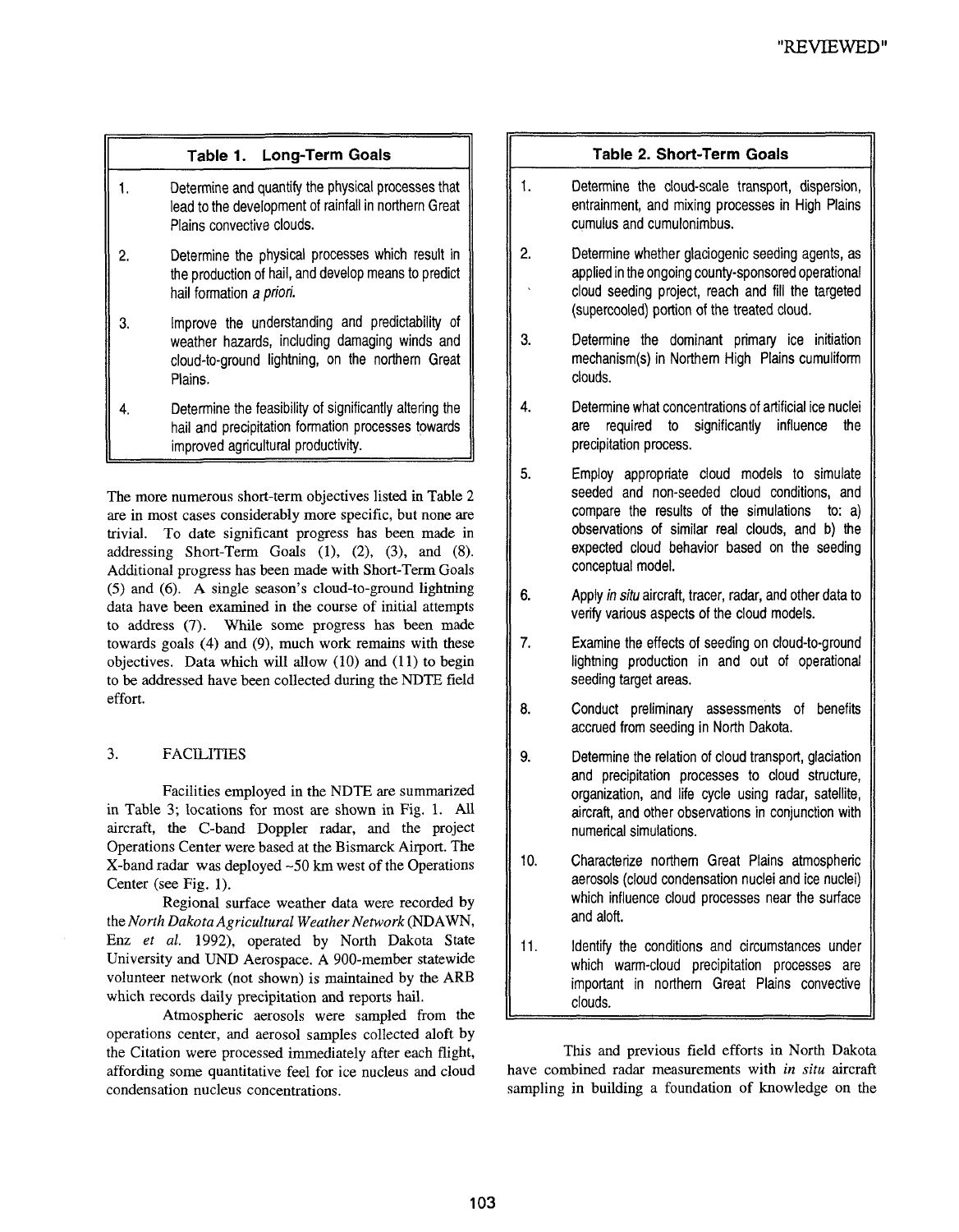# **Table 1. Long-Term Goals**

- 1. Determine and quantify the physical processes that lead to the development of rainfall in northern Great Plains convective clouds.
- $2.$ Determine the physical processes which result in the production of hail, and develop means to predict hail formation a priori.
- $3.$ Improve the understanding and predictability of weather hazards, including damaging winds and cloud-to-ground lightning, on the northern Great Plains.
- $\overline{4}$ . Determine the feasibility of significantly altering the hail and precipitation formation processes towards improved agricultural productivity.

The more numerous short-term objectives listed in Table 2 are in most cases considerably more specific, but none are trivial. To date significant progress has been made in addressing Short-Term Goals (1), (2), (3), and (8). Additional progress has been made with Short-Term Goals (5) and (6). A single season's cloud-to-ground lightning data have been examined in the course of initial attempts to address (7). While some progress has been made towards goals (4) and (9), much work remains with these objectives. Data which will allow (10) and (11) to begin to be addressed have been collected during the NDTE field effort.

# 3. FACILITIES

Facilities employed in the NDTE are summarized in Table 3; locations for most are shown in Fig. 1. All aircraft, the C-band Doppler radar, and the project Operations Center were based at the Bismarck Airport. The X-band radar was deployed -50 km west of the Operations Center (see Fig. 1).

Regional surface weather data were recorded by the *North Dakota Agricultural Weather Network* (NDAWN, Enz *et al.* 1992), operated by North Dakota State University and UND Aerospace. A 900-member statewide volunteer network (not shown) is maintained by the ARB which records daily precipitation and reports hail.

Atmospheric aerosols were sampled from the operations center, and aerosol samples collected aloft by the Citation were processed immediately after each flight, affording some quantitative feel for ice nucleus and cloud condensation nucleus concentrations.

# **Table 2. Short-Term Goals**

- 1. Determine the cloud-scale transport, dispersion, entrainment, and mixing processes in High Plains cumulus and cumulonimbus.
- 2. Determine whether glaciogenic seeding agents, as applied in the ongoing county-sponsored operational cloud seeding project, reach and fill the targeted (supercooled) portion of the treated cloud.
- 3. Determine the dominant primary ice initiation mechanism(s) in Northern High Plains cumuliform clouds.
- 4. Determine what concentrations of artificial ice nuclei are required to significantly influence the precipitation process.
- 5. Employ appropriate cloud models to simulate seeded and non-seeded cloud conditions, and compare the results of the simulations to: a) observations of similar real clouds, and b) the expected cloud behavior based on the seeding conceptual model.
- 6. Apply in situ aircraft, tracer, radar, and other data to verify various aspects of the cloud models.
- 7. Examine the effects of seeding on cloud-to-ground lightning production in and out of operational seeding target areas.
- 8. Conduct preliminary assessments of benefits accrued from seeding in North Dakota.
- 9. Determine the relation of cloud transport, glaciation and precipitation processes to cloud structure, organization, and life cycle using radar, satellite, aircraft, and other observations in conjunction with numerical simulations.
- 10. Characterize northern Great Plains atmospheric aerosols (cloud condensation nuclei and ice nuclei) which influence cloud processes near the surface and aloft.
- 11. Identify the conditions and circumstances under which warm-cloud precipitation processes are important in northern Great Plains convective clouds.

This and previous field efforts in North Dakota have combined radar measurements with *in situ* aircraft sampling in building a foundation of knowledge on the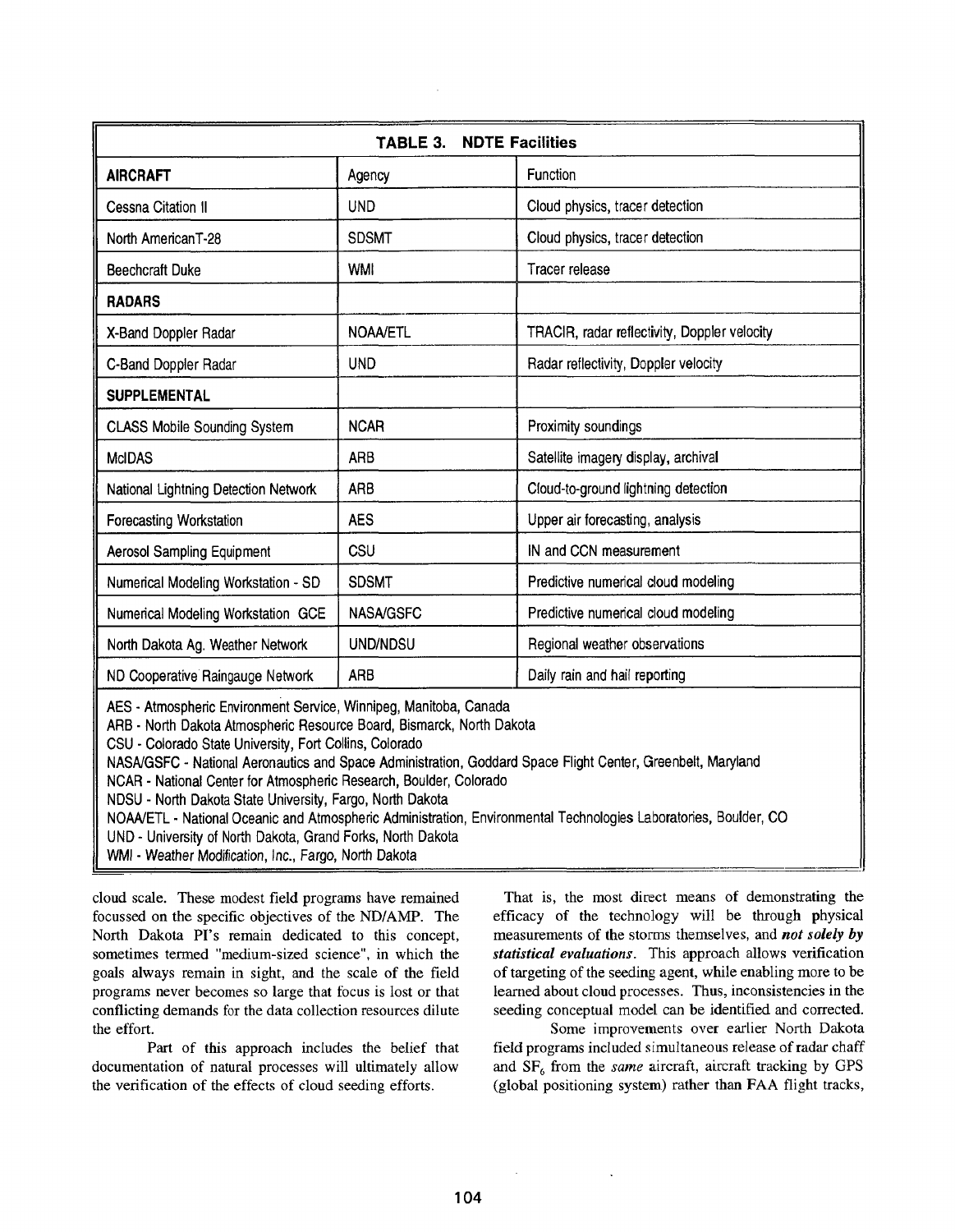| <b>NDTE Facilities</b><br>TABLE 3.   |                  |                                              |  |  |  |  |  |
|--------------------------------------|------------------|----------------------------------------------|--|--|--|--|--|
| <b>AIRCRAFT</b>                      | Agency           | Function                                     |  |  |  |  |  |
| <b>Cessna Citation II</b>            | <b>UND</b>       | Cloud physics, tracer detection              |  |  |  |  |  |
| North AmericanT-28                   | <b>SDSMT</b>     | Cloud physics, tracer detection              |  |  |  |  |  |
| <b>Beechcraft Duke</b>               | <b>WMI</b>       | Tracer release                               |  |  |  |  |  |
| <b>RADARS</b>                        |                  |                                              |  |  |  |  |  |
| X-Band Doppler Radar                 | <b>NOAA/ETL</b>  | TRACIR, radar reflectivity, Doppler velocity |  |  |  |  |  |
| C-Band Doppler Radar                 | <b>UND</b>       | Radar reflectivity, Doppler velocity         |  |  |  |  |  |
| <b>SUPPLEMENTAL</b>                  |                  |                                              |  |  |  |  |  |
| <b>CLASS Mobile Sounding System</b>  | <b>NCAR</b>      | Proximity soundings                          |  |  |  |  |  |
| <b>McIDAS</b>                        | ARB              | Satellite imagery display, archival          |  |  |  |  |  |
| National Lightning Detection Network | <b>ARB</b>       | Cloud-to-ground lightning detection          |  |  |  |  |  |
| Forecasting Workstation              | <b>AES</b>       | Upper air forecasting, analysis              |  |  |  |  |  |
| <b>Aerosol Sampling Equipment</b>    | CSU              | IN and CCN measurement                       |  |  |  |  |  |
| Numerical Modeling Workstation - SD  | <b>SDSMT</b>     | Predictive numerical cloud modeling          |  |  |  |  |  |
| Numerical Modeling Workstation GCE   | <b>NASA/GSFC</b> | Predictive numerical cloud modeling          |  |  |  |  |  |
| North Dakota Ag. Weather Network     | UND/NDSU         | Regional weather observations                |  |  |  |  |  |
| ND Cooperative Raingauge Network     | ARB              | Daily rain and hail reporting                |  |  |  |  |  |

AES- Atmospheric Environment Service, Winnipeg, Manitoba, Canada

ARB- North Dakota Atmospheric Resource Board, Bismarck, North Dakota

CSU- Colorado State University, Fort Collins, Colorado

NASNGSFC - National Aeronautics and Space Administration, Goddard Space Flight Center, Greenbelt, Maryland

NCAR- National Center for Atmospheric Research, Boulder, Colorado

NDSU **-** North Dakota State University, Fargo, North Dakota

NOANETL - National Oceanic and Atmospheric Administration, Environmental Technologies Laboratories, Boulder, CO

UND- University of North Dakota, Grand Forks, North Dakota

WMI- Weather Modification, Inc., Fargo, North Dakota

cloud scale. These modest field programs have remained focussed on the specific objectives of the ND/AMP. The North Dakota PI's remain dedicated to this concept, sometimes termed "medium-sized science", in which the goals always remain in sight, and the scale of the field programs never becomes so large that focus is lost or that conflicting demands for the data collection resources dilute the effort.

Part of this approach includes the belief that documentation of natural processes will ultimately allow the verification of the effects of cloud seeding efforts.

That is, the most direct means of demonstrating the efficacy of the technology will be through physical measurements of the storms themselves, and *not solely by statistical evaluations.* This approach allows verification of targeting of the seeding agent, while enabling more to be learned about cloud processes. Thus, inconsistencies in the seeding conceptual model can be identified and corrected.

Some improvements over earlier North Dakota field programs included simultaneous release of radar chaff and  $SF<sub>6</sub>$  from the *same* aircraft, aircraft tracking by GPS (global positioning system) rather than FAA flight tracks,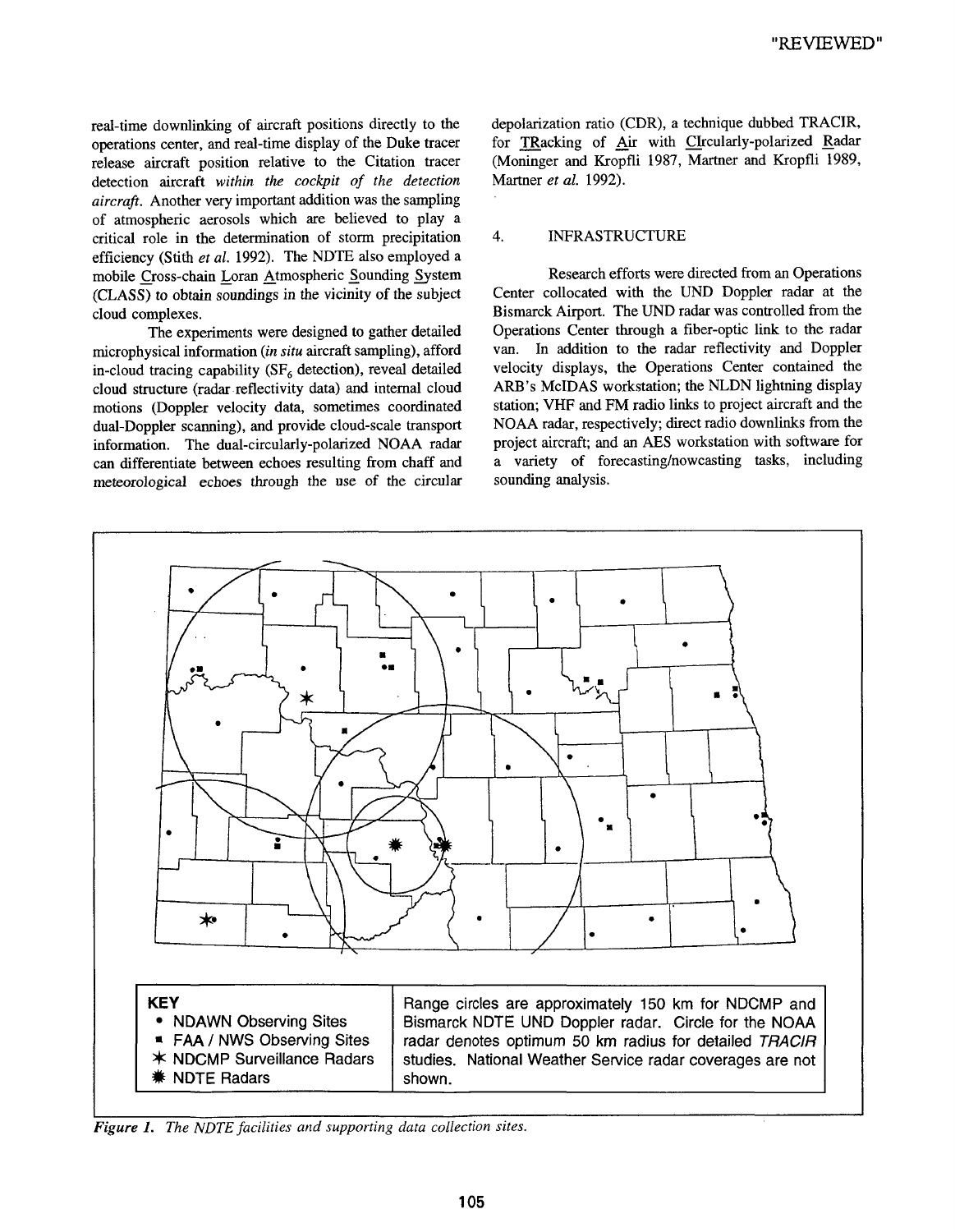real-time downlinking of aircraft positions directly to the operations center, and real-time display of the Duke tracer release aircraft position relative to the Citation tracer detection aircraft *within the cockpit of the detection aircraft.* Another very important addition was the sampling of atmospheric aerosols which are believed to play a critical role in the determination of storm precipitation efficiency (Stith et al. 1992). The NDTE also employed a mobile Cross-chain Loran Atmospheric Sounding System (CLASS) to obtain soundings in the vicinity of the subject cloud complexes.

The experiments were designed to gather detailed microphysical information *(in situ* aircraft sampling), afford in-cloud tracing capability ( $SF<sub>6</sub>$  detection), reveal detailed cloud structure (radar.reflectivity data) and internal cloud motions (Doppler velocity data, sometimes coordinated dual-Doppler scanning), and provide cloud-scale transport information. The dual-circularly-polarized NOAA radar can differentiate between echoes resulting from chaff and meteorological echoes through the use of the circular depolarization ratio (CDR), a technique dubbed TRACIR, for TRacking of Air with CIrcularly-polarized Radar (Moninger and Kropfli 1987, Martner and Kropfli 1989, Martner *et al.* 1992).

#### 4. INFRASTRUCTURE

Research efforts were directed from an Operations Center collocated with the UND Doppler radar at the Bismarck Airport. The UND radar was controlled from the Operations Center through a fiber-optic link to the radar van. In addition to the radar reflectivity and Doppler velocity displays, the Operations Center contained the ARB's MclDAS workstation; the NLDN lightning display station; VHF and FM radio links to project aircraft and the NOAA radar, respectively; direct radio downlinks from the project aircraft; and an AES workstation with software for a variety of forecasting/nowcasting tasks, including sounding analysis.



*Figure 1. The NDTE facilities and supporting data collection sites.*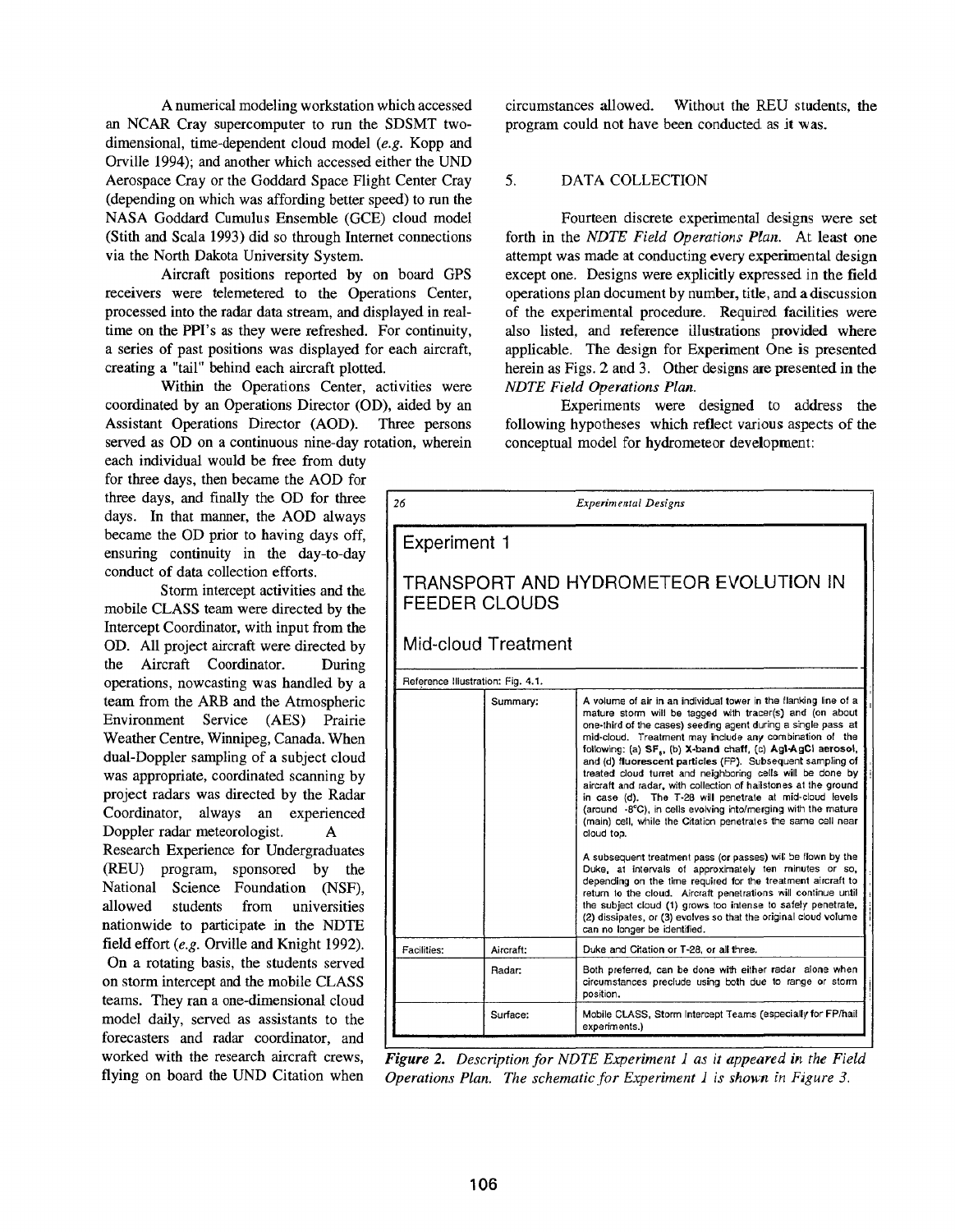A numerical modeling workstation which accessed an NCAR Cray supercomputer to run the SDSMT twodimensional, time-dependent cloud model *(e.g.* Kopp and Orville 1994); and another which accessed either the UND Aerospace Cray or the Goddard Space Flight Center Cray (depending on which was affording better speed) to run the NASA Goddard Cumulus Ensemble (GCE) cloud model (Stith and Scala 1993) did so through Internet connections via the North Dakota University System.

Aircraft positions reported by on board GPS receivers were telemetered to the Operations Center, processed into the radar data stream, and displayed in realtime on the PPI's as they were refreshed. For continuity, a series of past positions was displayed for each aircraft, creating a "tail" behind each aircraft plotted.

Within the Operations Center, activities were coordinated by an Operations Director (OD), aided by Assistant Operations Director (AOD). Three persons served as OD on a continuous nine-day rotation, wherein

each individual would be free from duty for three days, then became the AOD for three days, and finally the OD for three days. In that manner, the AOD always became the OD prior to having days off, ensuring continuity in the day-to-day conduct of data collection efforts.

Storm intercept activities and the mobile CLASS team were directed by the Intercept Coordinator, with input from the OD. All project aircraft were directed by the Aircraft Coordinator. During operations, nowcasting was handled by a team from the ARB and the Atmospheric Environment Service (AES) Prairie Weather Centre, Winnipeg, Canada. When dual-Doppler sampling of a subject cloud was appropriate, coordinated scanning by project radars was directed by the Radar Coordinator, always an experienced Doppler radar meteorologist. A Research Experience for Undergraduates

(REU) program, sponsored by the National Science Foundation (NSF), allowed students from universities nationwide to participate in the NDTE field effort *(e.g.* Orville and Knight 1992). On a rotating basis, the students served on storm intercept and the mobile CLASS teams. They ran a one-dimensional cloud model daily, served as assistants to the forecasters and radar coordinator, and worked with the research aircraft crews, flying on board the UND Citation when

circumstances allowed. Without the REU students, the program could not have been conducted as it was.

# 5. DATA COLLECTION

Fourteen discrete experimental designs were set forth in the *NDTE Field Operations Plan*. At least one attempt was made at conducting every experimental design except one. Designs were explicitly expressed in the field operations plan document by number, title, and a discussion of the experimental procedure. Required facilities were also listed, and reference illustrations provided where applicable. The design for Experiment One is presented herein as Figs. 2 and 3. Other designs are presented in the *NDTE Field Operations Plan.*

Experiments were designed to address the following hypotheses which reflect various aspects of the conceptual model for hydrometeor development:

| 26                                                      | <b>Experimental Designs</b> |                                                                                                                                                                                                                                                                                                                                                                                                                                                                                                                                                                                                                                                                                                                                                                                                                                                                                                                                                                                                                                                                                                                                                                    |  |  |  |  |  |
|---------------------------------------------------------|-----------------------------|--------------------------------------------------------------------------------------------------------------------------------------------------------------------------------------------------------------------------------------------------------------------------------------------------------------------------------------------------------------------------------------------------------------------------------------------------------------------------------------------------------------------------------------------------------------------------------------------------------------------------------------------------------------------------------------------------------------------------------------------------------------------------------------------------------------------------------------------------------------------------------------------------------------------------------------------------------------------------------------------------------------------------------------------------------------------------------------------------------------------------------------------------------------------|--|--|--|--|--|
| <b>Experiment 1</b>                                     |                             |                                                                                                                                                                                                                                                                                                                                                                                                                                                                                                                                                                                                                                                                                                                                                                                                                                                                                                                                                                                                                                                                                                                                                                    |  |  |  |  |  |
| TRANSPORT AND HYDROMETEOR EVOLUTION IN<br>FEEDER CLOUDS |                             |                                                                                                                                                                                                                                                                                                                                                                                                                                                                                                                                                                                                                                                                                                                                                                                                                                                                                                                                                                                                                                                                                                                                                                    |  |  |  |  |  |
| Mid-cloud Treatment                                     |                             |                                                                                                                                                                                                                                                                                                                                                                                                                                                                                                                                                                                                                                                                                                                                                                                                                                                                                                                                                                                                                                                                                                                                                                    |  |  |  |  |  |
| Reference Illustration: Fig. 4.1.                       |                             |                                                                                                                                                                                                                                                                                                                                                                                                                                                                                                                                                                                                                                                                                                                                                                                                                                                                                                                                                                                                                                                                                                                                                                    |  |  |  |  |  |
|                                                         | Summary:                    | A volume of air in an individual tower in the flanking line of a<br>mature storm will be tagged with tracer(s) and (on about<br>one-third of the cases) seeding agent during a single pass at<br>mid-cloud. Treatment may include any combination of the<br>following: (a) SF., (b) X-band chaff, (c) AgI-AgCl aerosol,<br>and (d) fluorescent particles (FP). Subsequent sampling of<br>treated cloud turret and neighboring cells will be done by<br>aircraft and radar, with collection of hailstones at the ground<br>in case (d). The T-28 will penetrate at mid-cloud levels<br>(around -8°C), in cells evolving into/merging with the mature<br>(main) cell, while the Citation penetrates the same cell near<br>cloud top.<br>A subsequent treatment pass (or passes) will be flown by the<br>Duke, at intervals of approximately ten minutes or so,<br>depending on the time required for the treatment aircraft to<br>return to the cloud. Aircraft penetrations will continue until<br>the subject cloud (1) grows too intense to safely penetrate,<br>(2) dissipates, or (3) evolves so that the original cloud volume<br>can no longer be identified. |  |  |  |  |  |
| Facilities:                                             | Aircraft:                   | Duke and Citation or T-28, or all three.                                                                                                                                                                                                                                                                                                                                                                                                                                                                                                                                                                                                                                                                                                                                                                                                                                                                                                                                                                                                                                                                                                                           |  |  |  |  |  |
|                                                         | Radar:                      | Both preferred, can be done with either radar alone when<br>circumstances preclude using both due to range or storm<br>position.                                                                                                                                                                                                                                                                                                                                                                                                                                                                                                                                                                                                                                                                                                                                                                                                                                                                                                                                                                                                                                   |  |  |  |  |  |
|                                                         | Surface:                    | Mobile CLASS, Storm Intercept Teams (especially for FP/hail<br>experiments.)                                                                                                                                                                                                                                                                                                                                                                                                                                                                                                                                                                                                                                                                                                                                                                                                                                                                                                                                                                                                                                                                                       |  |  |  |  |  |

*Figure 2. Description for NDTE Experiment 1 as it appeared in the Field Operations Plan. The schematic.for Experiment i is skown fn Figure 3.*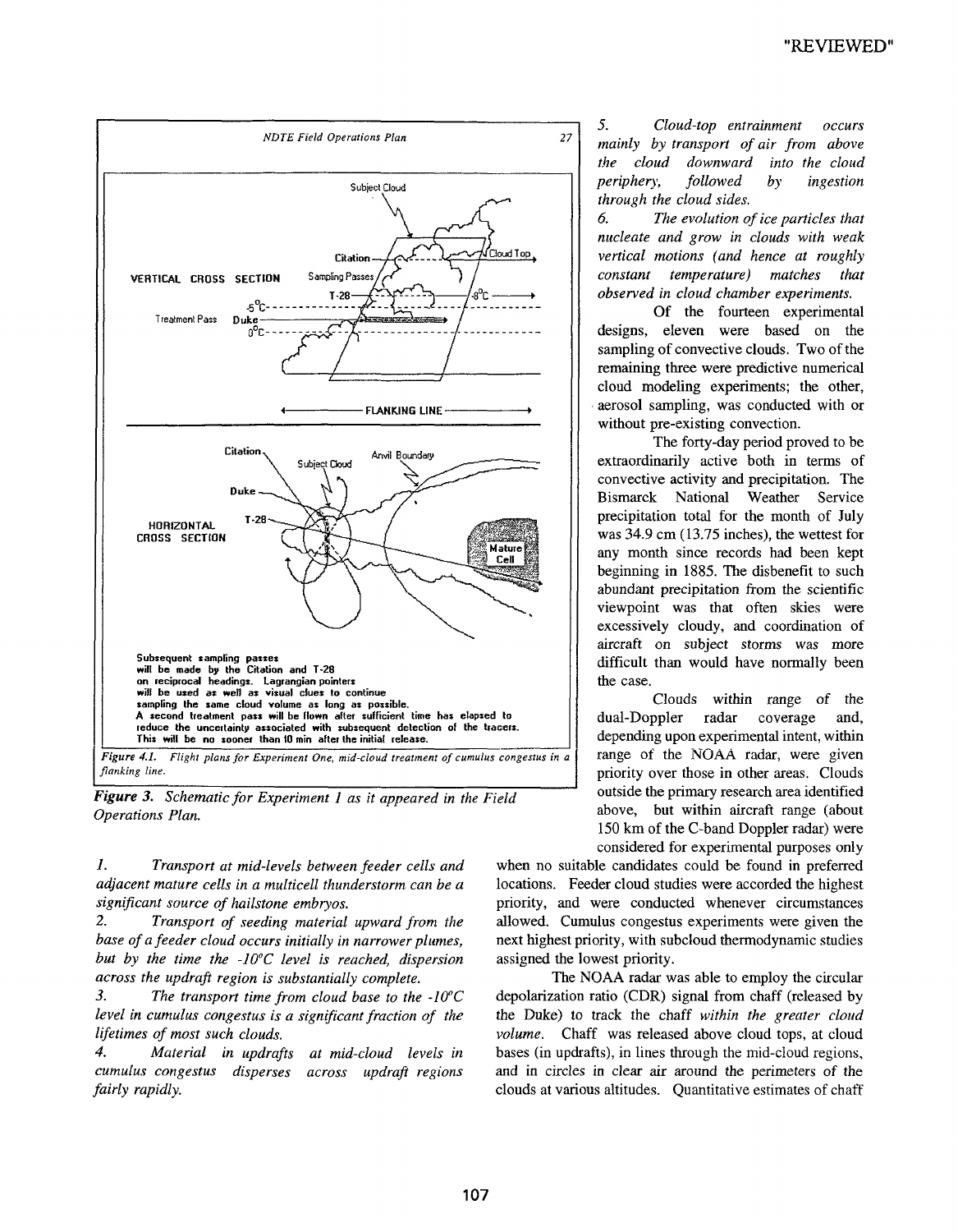

*Figure 3. Schematic for Experiment 1 as it appeared in the Field Operations Plan.*

*1. Tranaport at mid-levels between feeder cells and adjacent mature cells in a multicell thunderstorm can be a significant source of hailstone embryos.*

*2. Transport of seeding material upward from the base of a feeder cloud occurs initially in narrower plumes, but by the time the -10°C level is reached, dispersion across the updraft region is substantially complete.*

*3. The transport time from cloud base to the -10~C level in cumulus congestus is a significant fraction of the lifetimes of most such clouds.*

*4. Material in updrafts at mid-cloud levels in cumulus congestus disperses across updraft regions fairly rapidly.*

*5. Cloud-top entrainment occurs 27 mainly by transport of air from above the cloud downward into the cloud periphery, followed by ingestion through the cloud sides.*

> *6. The evolution of ice particles that nucleate and grow in clouds with weak vertical motions (and hence at roughly constant temperature) matches that observed in cloud chamber experiments.*

> Of the fourteen experimental designs, eleven were based on the sampling of convective clouds. Two of the remaining three were predictive numerical cloud modeling experiments; the other, . aerosol sampling, was conducted with or without pre-existing convection.

> The forty-day period proved to be extraordinarily active both in terms of convective activity and precipitation. The Bismarck National Weather Service precipitation total for the month of July was  $34.9 \text{ cm}$  (13.75 inches), the wettest for any month since records had been kept beginning in 1885. The disbenefit to such abundant precipitation from the scientific viewpoint was that often skies were excessively cloudy, and coordination of aircraft on subject storms was more difficult than would have normally been the case.

> Clouds within range of the dual-Doppler radar coverage and, depending upon experimental intent, within range of the NOAA radar, were given priority over those in other areas. Clouds outside the primary research area identified above, but within aircraft range (about 150 km of the C-band Doppler radar) were considered for experimental purposes only

when no suitable candidates could be found in preferred locations. Feeder cloud studies were accorded the highest priority, and were conducted whenever circumstances allowed. Cumulus congestus experiments were given the next highest priority, with subcloud thermodynamic studies assigned the lowest priority.

The NOAA radar was able to employ the circular depolarization ratio (CDR) signal from chaff (released by the Duke) to track the chaff *within the greater cloud volume.* Chaff was released above cloud tops, at cloud bases (in updrafts), in lines through the mid-cloud regions, and in circles in clear air around the perimeters of the clouds at various altitudes. Quantitative estimates of chaff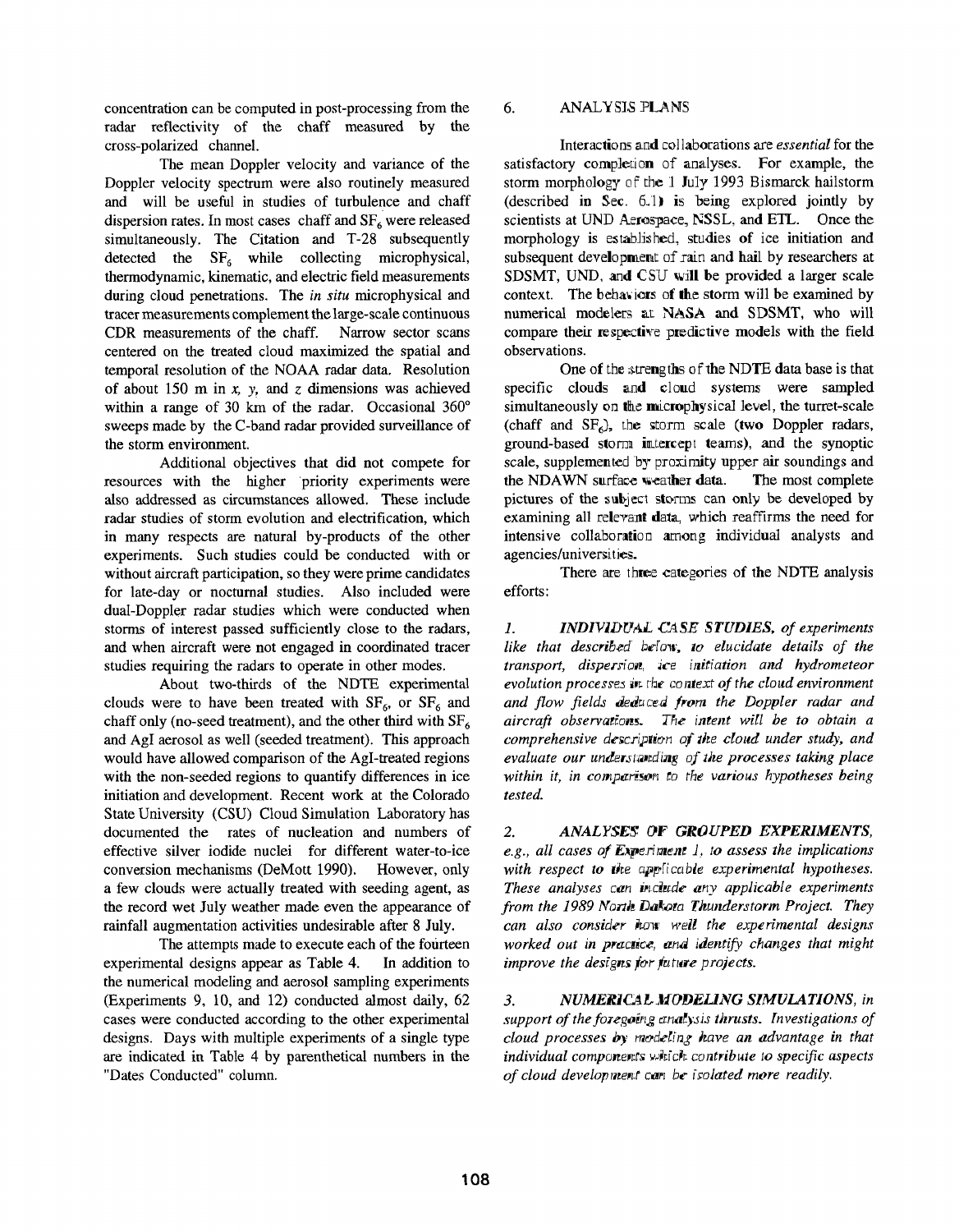concentration can be computed in post-processing from the radar reflectivity of the chaff measured by the cross-polarized channel.

The mean Doppler velocity and variance of the Doppler velocity spectrum were also routinely measured and will be useful in studies of turbulence and chaff dispersion rates. In most cases chaff and  $SF<sub>6</sub>$  were released simultaneously. The Citation and T-28 subsequently detected the  $SF<sub>6</sub>$  while collecting microphysical, thermodynamic, kinematic, and electric field measurements during cloud penetrations. The *in situ* microphysical and tracer measurements complement the large-scale continuous CDR measurements of the chaff. Narrow sector scans centered on the treated cloud maximized the spatial and temporal resolution of the NOAA radar data. Resolution of about 150 m in  $x$ ,  $y$ , and  $z$  dimensions was achieved within a range of 30 km of the radar. Occasional  $360^\circ$ sweeps made by the C-band radar provided surveillance of the storm environment.

Additional objectives that did not compete for resources with the higher priority experiments were also addressed as circumstances allowed. These include radar studies of storm evolution and electrification, which in many respects are natural by-products of the other experiments. Such studies could be conducted with or without aircraft participation, so they were prime candidates for late-day or nocturnal studies. Also included were dual-Doppler radar studies which were conducted when storms of interest passed sufficiently close to the radars, and when aircraft were not engaged in coordinated tracer studies requiring the radars to operate in other modes.

About two-thirds of the NDTE experimental clouds were to have been treated with  $SF_6$ , or  $SF_6$  and chaff only (no-seed treatment), and the other third with  $SF<sub>6</sub>$ and AgI aerosol as well (seeded treatment). This approach would have allowed comparison of the AgI-treated regions with the non-seeded regions to quantify differences in ice initiation and development. Recent work at the Colorado State University (CSU) Cloud Simulation Laboratory has documented the rates of nucleation and numbers of effective silver iodide nuclei for different water-to-ice conversion mechanisms (DeMott 1990). However, only a few clouds were actually treated with seeding agent, as the record wet July weather made even the appearance of rainfall augmentation activities undesirable after 8 July.

The attempts made to execute each of the fourteen experimental designs appear as Table 4. In addition to the numerical modeling and aerosol sampling experiments (Experiments 9, 10, and 12) conducted almost daily, cases were conducted according to the other experimental designs. Days with multiple experiments of a single type are indicated in Table 4 by parenthetical numbers in the "Dates Conducted" column.

#### 6. **ANALYSIS PLANS**

Interactions and col laborations are *essential* for the satisfactory completion of analyses. For example, the storm morphology of the 1 July 1993 Bismarck hailstorm (described in Sec.  $6.1~$ ) is being explored jointly by scientists at UND Aerospace, NSSL, and ETL. Once the morphology is established, studies of ice initiation and subsequent development of rain and hail by researchers at SDSMT, UND, and CSU will be provided a larger scale context. The behaviors of the storm will be examined by numerical modelers at NASA and SDSMT, who will compare their respective predictive models with the field observations.

One of the strengths of the NDTE data base is that specific clouds and cloud systems were sampled simultaneously on the microphysical level, the turret-scale (chaff and  $SF<sub>6</sub>$ ), the storm scale (two Doppler radars, ground-based storm intercept teams), and the synoptic scale, supplemented by proximity upper air soundings and the NDAWN surface weather data. The most complete pictures of the subject storms can only be developed by examining all relevant data, which reaffirms the need for intensive collaboration among individual analysts and agencies/universities.

There are three categories of the NDTE analysis efforts:

1. **INDIVIDUAL CASE STUDIES, of experiments** *like that described below, to elucidate details of the* transport, dispersion, ice initiation and hydrometeor *evolution processes* in the context of the cloud environment *and flow fields deduced from the Doppler radar and aircraft observations. The intent will be to obtain a comprehensive description of the cloud under study, and* evaluate our understanding of the processes taking place within it, in comparisor, to the various hypotheses being *tested.*

2. *ANALYSES OF GROUPED EXPERIMENTS, e.g., all cases of E~pe.riraeae J, to assess the implications* with respect to the applicable experimental hypotheses. *These analyses can include any applicable experiments from the 1989 North Dakota Thunderstorm Project. They can also consider how well the experimental designs worked out in practice, and identify changes that might improve the designs for future projects.* 

3. NUMERICAL.MODELING SIMULATIONS, in *support of the foregoing analysis thrusts. Investigations of cloud processes by modeling have an advantage in that individual components which contribute to specific aspects* of cloud development can be isolated more readily.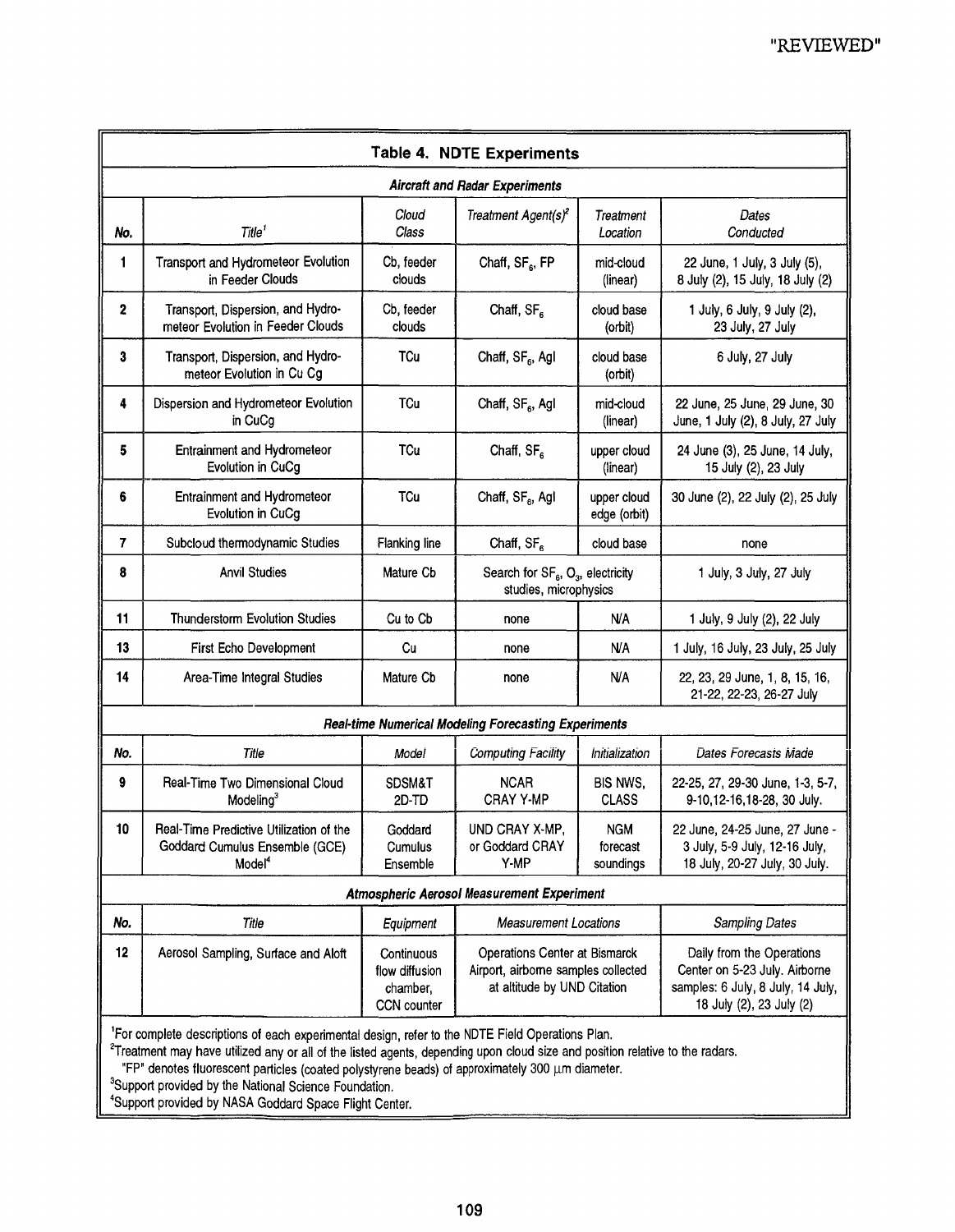| <b>Table 4. NDTE Experiments</b>                            |                                                                                                                                                                                                                                                          |                                                         |                                                                                                     |                                     |                                                                                                                             |  |  |  |
|-------------------------------------------------------------|----------------------------------------------------------------------------------------------------------------------------------------------------------------------------------------------------------------------------------------------------------|---------------------------------------------------------|-----------------------------------------------------------------------------------------------------|-------------------------------------|-----------------------------------------------------------------------------------------------------------------------------|--|--|--|
| <b>Aircraft and Radar Experiments</b>                       |                                                                                                                                                                                                                                                          |                                                         |                                                                                                     |                                     |                                                                                                                             |  |  |  |
| No.                                                         | Title <sup>1</sup>                                                                                                                                                                                                                                       | Cloud<br>Class                                          | Treatment Agent(s) <sup>2</sup>                                                                     | Treatment<br>Location               | Dates<br>Conducted                                                                                                          |  |  |  |
| 1                                                           | Transport and Hydrometeor Evolution<br>in Feeder Clouds                                                                                                                                                                                                  | Cb, feeder<br>clouds                                    | Chaff, SF <sub>6</sub> , FP                                                                         | mid-cloud<br>(linear)               | 22 June, 1 July, 3 July (5),<br>8 July (2), 15 July, 18 July (2)                                                            |  |  |  |
| 2                                                           | Transport, Dispersion, and Hydro-<br>meteor Evolution in Feeder Clouds                                                                                                                                                                                   | Cb, feeder<br>clouds                                    | Chaff, SF <sub>6</sub>                                                                              | cloud base<br>(orbit)               | 1 July, 6 July, 9 July (2),<br>23 July, 27 July                                                                             |  |  |  |
| 3                                                           | Transport, Dispersion, and Hydro-<br>meteor Evolution in Cu Cg                                                                                                                                                                                           | TCu                                                     | Chaff, SF <sub>6</sub> , Agl                                                                        | cloud base<br>(orbit)               | 6 July, 27 July                                                                                                             |  |  |  |
| 4                                                           | Dispersion and Hydrometeor Evolution<br>in CuCg                                                                                                                                                                                                          | TCu                                                     | Chaff, SF <sub>6</sub> , Agl                                                                        | mid-cloud<br>(linear)               | 22 June, 25 June, 29 June, 30<br>June, 1 July (2), 8 July, 27 July                                                          |  |  |  |
| 5                                                           | Entrainment and Hydrometeor<br>Evolution in CuCg                                                                                                                                                                                                         | TCu                                                     | Chaff, SF <sub>6</sub>                                                                              | upper cloud<br>(linear)             | 24 June (3), 25 June, 14 July,<br>15 July (2), 23 July                                                                      |  |  |  |
| 6                                                           | Entrainment and Hydrometeor<br>Evolution in CuCg                                                                                                                                                                                                         | <b>TCu</b>                                              | Chaff, SF <sub>6</sub> , Agl                                                                        | upper cloud<br>edge (orbit)         | 30 June (2), 22 July (2), 25 July                                                                                           |  |  |  |
| $\overline{7}$                                              | Subcloud thermodynamic Studies                                                                                                                                                                                                                           | <b>Flanking line</b>                                    | Chaff, SF <sub>6</sub>                                                                              | cloud base                          | none                                                                                                                        |  |  |  |
| 8                                                           | <b>Anvil Studies</b>                                                                                                                                                                                                                                     | Mature Cb                                               | Search for SF <sub>6</sub> , O <sub>3</sub> , electricity<br>studies, microphysics                  |                                     | 1 July, 3 July, 27 July                                                                                                     |  |  |  |
| 11                                                          | <b>Thunderstorm Evolution Studies</b>                                                                                                                                                                                                                    | Cu to Cb                                                | none                                                                                                | <b>N/A</b>                          | 1 July, 9 July (2), 22 July                                                                                                 |  |  |  |
| 13                                                          | <b>First Echo Development</b>                                                                                                                                                                                                                            | Cu                                                      | none                                                                                                | N/A                                 | 1 July, 16 July, 23 July, 25 July                                                                                           |  |  |  |
| 14                                                          | Area-Time Integral Studies                                                                                                                                                                                                                               | Mature Cb                                               | none                                                                                                | <b>N/A</b>                          | 22, 23, 29 June, 1, 8, 15, 16,<br>21-22, 22-23, 26-27 July                                                                  |  |  |  |
| <b>Real-time Numerical Modeling Forecasting Experiments</b> |                                                                                                                                                                                                                                                          |                                                         |                                                                                                     |                                     |                                                                                                                             |  |  |  |
| No.                                                         | Title                                                                                                                                                                                                                                                    | Model                                                   | <b>Computing Facility</b>                                                                           | <i><b>Initialization</b></i>        | Dates Forecasts Made                                                                                                        |  |  |  |
| 9                                                           | Real-Time Two Dimensional Cloud<br>Modeling <sup>3</sup>                                                                                                                                                                                                 | <b>SDSM&amp;T</b><br>2D-TD                              | <b>NCAR</b><br><b>CRAY Y-MP</b>                                                                     | BIS NWS,<br><b>CLASS</b>            | 22-25, 27, 29-30 June, 1-3, 5-7,<br>9-10,12-16,18-28, 30 July.                                                              |  |  |  |
| 10                                                          | Real-Time Predictive Utilization of the<br>Goddard Cumulus Ensemble (GCE)<br>Model <sup>4</sup>                                                                                                                                                          | Goddard<br>Cumulus<br>Ensemble                          | UND CRAY X-MP,<br>or Goddard CRAY<br>Y-MP                                                           | <b>NGM</b><br>forecast<br>soundings | 22 June, 24-25 June, 27 June -<br>3 July, 5-9 July, 12-16 July,<br>18 July, 20-27 July, 30 July.                            |  |  |  |
| <b>Atmospheric Aerosol Measurement Experiment</b>           |                                                                                                                                                                                                                                                          |                                                         |                                                                                                     |                                     |                                                                                                                             |  |  |  |
| No.                                                         | Title                                                                                                                                                                                                                                                    | Equipment                                               | <b>Measurement Locations</b>                                                                        |                                     | Sampling Dates                                                                                                              |  |  |  |
| $12 \,$                                                     | Aerosol Sampling, Surface and Aloft                                                                                                                                                                                                                      | Continuous<br>flow diffusion<br>chamber,<br>CCN counter | Operations Center at Bismarck<br>Airport, airborne samples collected<br>at altitude by UND Citation |                                     | Daily from the Operations<br>Center on 5-23 July. Airborne<br>samples: 6 July, 8 July, 14 July,<br>18 July (2), 23 July (2) |  |  |  |
|                                                             | <sup>1</sup> For complete descriptions of each experimental design, refer to the NDTE Field Operations Plan.<br><sup>2</sup> Treatment may have utilized any or all of the listed agents, depending upon cloud size and position relative to the radars. |                                                         |                                                                                                     |                                     |                                                                                                                             |  |  |  |

"FP" denotes fluorescent particles (coated polystyrene beads) of approximately 300 um diameter.

<sup>3</sup>Support provided by the National Science Foundation.

4Support provided by NASA Goddard Space Flight Center.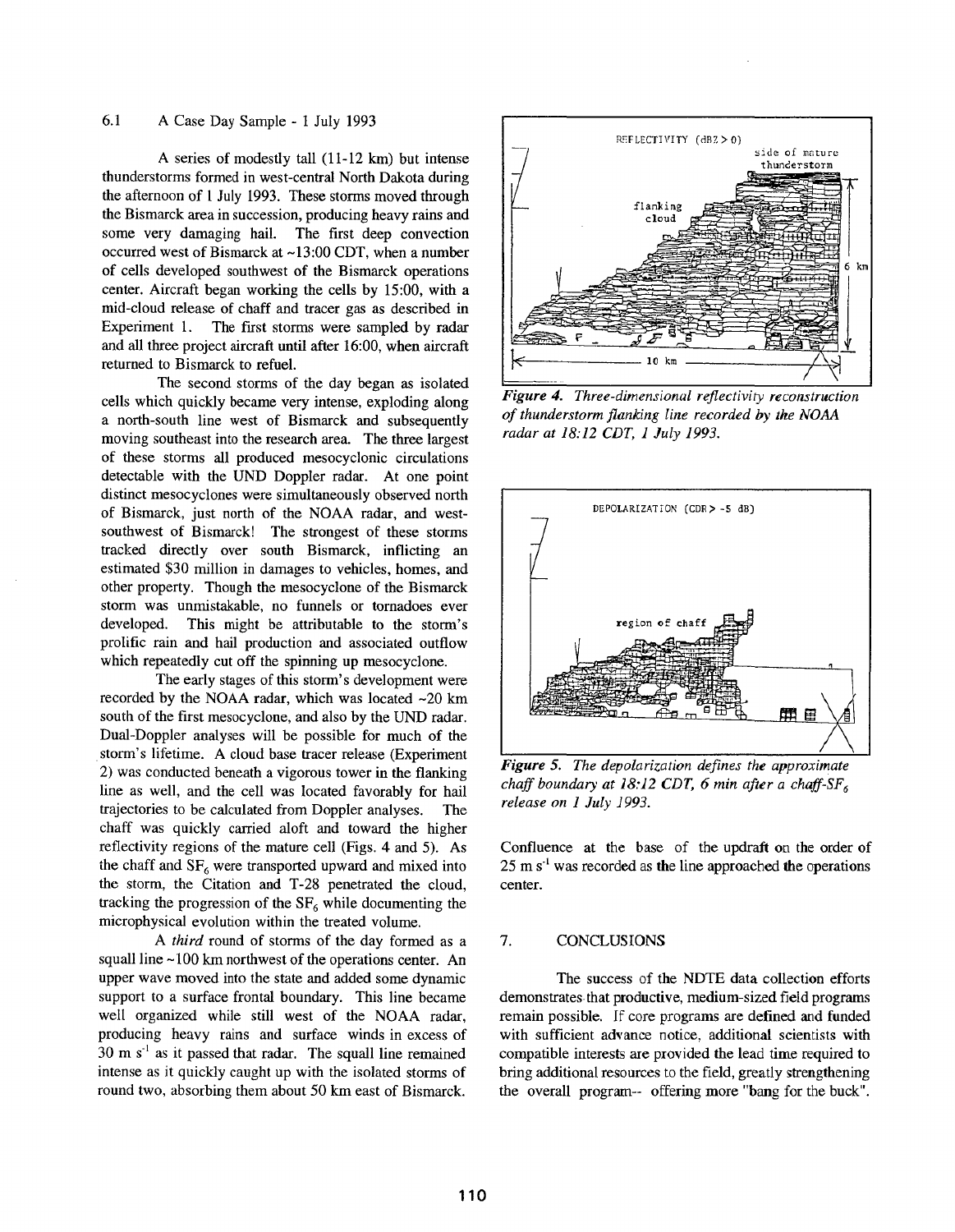# 6.1 A Case Day Sample - 1 July 1993

A series of modestly tall  $(11-12 \text{ km})$  but intense thunderstorms formed in west-central North Dakota during the afternoon of 1 July 1993. These storms moved through the Bismarck area in succession, producing heavy rains and some very damaging hail. The first deep convection occurred west of Bismarck at ~13:00 CDT, when a number of cells developed southwest of the Bismarck operations center. Aircraft began working the cells by 15:00, with a mid-cloud release of chaff and tracer gas as described in Experiment 1. The first storms were sampled by radar and all three project aircraft until after 16:00, when aircraft returned to Bismarck to refuel.

The second storms of the day began as isolated cells which quickly became very intense, exploding along a north-south line west of Bismarck and subsequently moving southeast into the research area. The three largest of these storms all produced mesocycionic circulations detectable with the UND Doppler radar. At one point distinct mesocyclones were simultaneously observed north of Bismarck, just north of the NOAA radar, and westsouthwest of Bismarck! The strongest of these storms tracked directly over south Bismarck, inflicting an estimated \$30 million in damages to vehicles, homes, and other property. Though the mesocyclone of the Bismarck storm was unmistakable, no funnels or tornadoes ever developed. This might be attributable to the storm's prolific rain and hail production and associated outflow which repeatedly cut off the spinning up mesocyclone.

The early stages of this storm's development were recorded by the NOAA radar, which was located  $\sim$ 20 km south of the first mesocyclone, and also by the UND radar. Dual-Doppler analyses will be possible for much of the storm's lifetime. A cloud base tracer release (Experiment 2) was conducted beneath a vigorous tower in the flanking line as well, and the cell was located favorably for hail trajectories to be calculated from Doppler analyses. The chaff was quickly carried aloft and toward the higher reflectivity regions of the mature cell (Figs. 4 and 5). the chaff and  $SF<sub>6</sub>$  were transported upward and mixed into the storm, the Citation and T-28 penetrated the cloud, tracking the progression of the  $SF<sub>6</sub>$  while documenting the microphysical evolution within the treated volume.

*A third* round of storms of the day formed as a squall line  $~100$  km northwest of the operations center. An upper wave moved into the state and added some dynamic support to a surface frontal boundary. This line became well organized while still west of the NOAA radar, producing heavy rains and surface winds in excess of  $30 \text{ m s}^{-1}$  as it passed that radar. The squall line remained intense as it quickly caught up with the isolated storms of round two, absorbing them about 50 km east of Bismarck.



*Figure 4. Three-dimensional reflectivity reconstruction of thunderstorm flanking line recorded by the NOAA radar at 18:12 CDT, i July 1993.*



*Figure 5. The depolarization defines the approximate chaff 6 boundary at 18:12 CDT, 6 min after a chaff-SF release on 1 July 1993.* 

Confluence at the base of the updraft on the order of  $25 \text{ m s}^{-1}$  was recorded as the line approached the operations center.

### 7. CONCLUSIONS

The success of the NDTE data collection efforts demonstrates that productive, medium-sized field programs remain possible. If core programs are defined and funded with sufficient advance notice, additional scientists with compatible interests are provided the lead time required to bring additional resources to the field, greatly strengthening the overall program-- offering more "bang for the buck".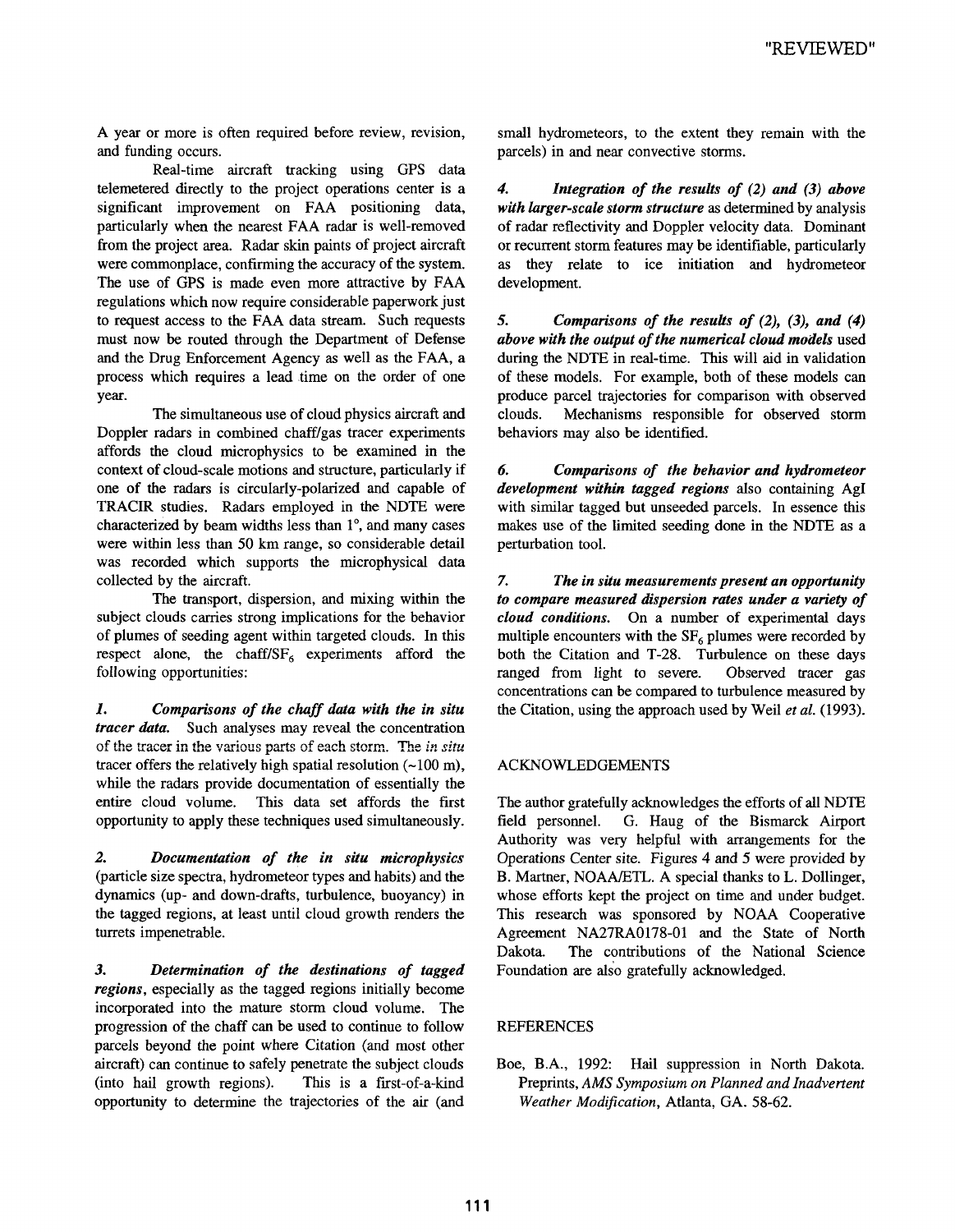A year or more is often required before review, revision, and funding occurs.

Real-time aircraft tracking using GPS data telemetered directly to the project operations center is a significant improvement on FAA positioning data, particularly when the nearest FAA radar is well-removed from the project area. Radar skin paints of project aircraft were commonplace, confirming the accuracy of the system. The use of GPS is made even more attractive by FAA regulations which now require considerable paperwork just to request access to the FAA data stream. Such requests must now be routed through the Department of Defense and the Drug Enforcement Agency as well as the FAA, a process which requires a lead time on the order of one year.

The simultaneous use of cloud physics aircraft and Doppler radars in combined chaff/gas tracer experiments affords the cloud microphysics to be examined in the context of cloud-scale motions and structure, particularly if one of the radars is circularly-polarized and capable of TRACIR studies. Radars employed in the NDTE were characterized by beam widths less than 1 °, and many cases were within less than 50 km range, so considerable detail was recorded which supports the microphysical data collected by the aircraft.

The transport, dispersion, and mixing within the subject clouds carries strong implications for the behavior of plumes of seeding agent within targeted clouds. In this respect alone, the chaff/ $SF_6$  experiments afford the following opportunities:

*1. Comparisons of the chaff data with the in situ tracer data.* Such analyses may reveal the concentration of the Racer in the various parts of each storm. The *in situ* tracer offers the relatively high spatial resolution  $(-100 \text{ m})$ , while the radars provide documentation of essentially the entire cloud volume. This data set affords the first opportunity to apply these techniques used simultaneously.

*2. Documentation of the in situ microphysics* (particle size spectra, hydrometeor types and habits) and the dynamics (up- and down-drafts, turbulence, buoyancy) the tagged regions, at least until cloud growth renders the turrets impenetrable.

*3. Determination of the destinations of tagged regions,* especially as the tagged regions initially become incorporated into the mature storm cloud volume. The progression of the chaff can be used to continue to follow parcels beyond the point where Citation (and most other aircraft) can continue to safely penetrate the subject clouds (into hail growth regions). This is a first-of-a-kind opportunity to determine the trajectories of the air (and small hydrometeors, to the extent they remain with the parcels) in and near convective storms.

*4. Integration of the results of (2) and (3) above with larger-scale storm structure as* determined by analysis of radar reflectivity and Doppler velocity data. Dominant or recurrent storm features may be identifiable, particularly as they relate to ice initiation and hydrometeor development.

*5. Comparisons of the results of (2), (3), and above with the output of the numerical cloud models* used during the NDTE in real-time. This will aid in validation of these models. For example, both of these models can produce parcel trajectories for comparison with observed clouds. Mechanisms responsible for observed storm behaviors may also be identified.

*6. Comparisons of the behavior and hydrometeor development within tagged regions* also containing AgI with similar tagged but unseeded parcels. In essence this makes use of the limited seeding done in the NDTE as a perturbation tool.

*7. The in situ measurements present an opportunity to compare measured dispersion rates under a variety of cloud conditions.* On a number of experimental days multiple encounters with the  $SF<sub>6</sub>$  plumes were recorded by both the Citation and T-28. Turbulence on these days ranged from light to severe. Observed tracer gas concentrations can be compared to turbulence measured by the Citation, using the approach used by Weil *et al.* (1993).

# ACKNOWLEDGEMENTS

The author gratefully acknowledges the efforts of all NDTE field personnel. G. Haug of the Bismarck Airport Authority was very helpful with arrangements for the Operations Center site. Figures 4 and 5 were provided by B. Martner, NOAA/ETL. A special thanks to L. Dollinger, whose efforts kept the project on time and under budget. This research was sponsored by NOAA Cooperative Agreement NA27RA0178-01 and the State of North Dakota. The contributions of the National Science Foundation are also gratefully acknowledged.

# REFERENCES

Boe, B.A., 1992: Hail suppression in North Dakota. Preprints, *AMS Symposium on Planned and Inadvertent Weather Modification,* Atlanta, GA. 58-62.